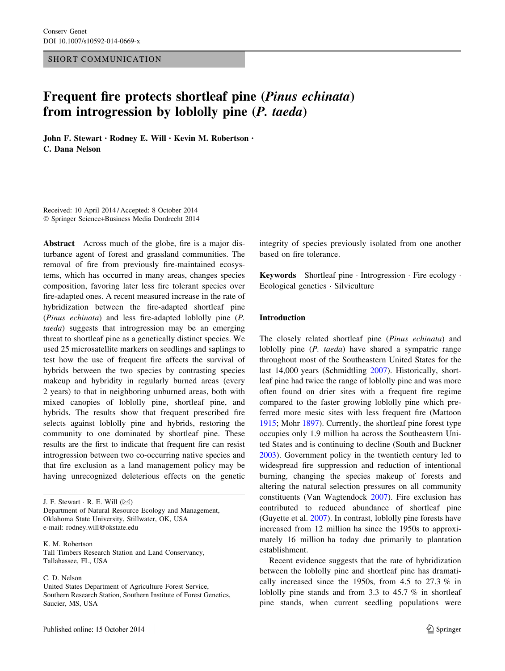SHORT COMMUNICATION

# Frequent fire protects shortleaf pine (Pinus echinata) from introgression by loblolly pine (P. taeda)

John F. Stewart • Rodney E. Will • Kevin M. Robertson • C. Dana Nelson

Received: 10 April 2014 / Accepted: 8 October 2014 - Springer Science+Business Media Dordrecht 2014

Abstract Across much of the globe, fire is a major disturbance agent of forest and grassland communities. The removal of fire from previously fire-maintained ecosystems, which has occurred in many areas, changes species composition, favoring later less fire tolerant species over fire-adapted ones. A recent measured increase in the rate of hybridization between the fire-adapted shortleaf pine (Pinus echinata) and less fire-adapted loblolly pine (P. taeda) suggests that introgression may be an emerging threat to shortleaf pine as a genetically distinct species. We used 25 microsatellite markers on seedlings and saplings to test how the use of frequent fire affects the survival of hybrids between the two species by contrasting species makeup and hybridity in regularly burned areas (every 2 years) to that in neighboring unburned areas, both with mixed canopies of loblolly pine, shortleaf pine, and hybrids. The results show that frequent prescribed fire selects against loblolly pine and hybrids, restoring the community to one dominated by shortleaf pine. These results are the first to indicate that frequent fire can resist introgression between two co-occurring native species and that fire exclusion as a land management policy may be having unrecognized deleterious effects on the genetic

J. F. Stewart  $\cdot$  R. E. Will  $(\boxtimes)$ 

Department of Natural Resource Ecology and Management, Oklahoma State University, Stillwater, OK, USA e-mail: rodney.will@okstate.edu

K. M. Robertson Tall Timbers Research Station and Land Conservancy, Tallahassee, FL, USA

C. D. Nelson

United States Department of Agriculture Forest Service, Southern Research Station, Southern Institute of Forest Genetics, Saucier, MS, USA

integrity of species previously isolated from one another based on fire tolerance.

Keywords Shortleaf pine - Introgression - Fire ecology - Ecological genetics - Silviculture

## Introduction

The closely related shortleaf pine (Pinus echinata) and loblolly pine (P. taeda) have shared a sympatric range throughout most of the Southeastern United States for the last 14,000 years (Schmidtling [2007\)](#page-4-0). Historically, shortleaf pine had twice the range of loblolly pine and was more often found on drier sites with a frequent fire regime compared to the faster growing loblolly pine which preferred more mesic sites with less frequent fire (Mattoon [1915](#page-4-0); Mohr [1897](#page-4-0)). Currently, the shortleaf pine forest type occupies only 1.9 million ha across the Southeastern United States and is continuing to decline (South and Buckner [2003](#page-4-0)). Government policy in the twentieth century led to widespread fire suppression and reduction of intentional burning, changing the species makeup of forests and altering the natural selection pressures on all community constituents (Van Wagtendock [2007\)](#page-4-0). Fire exclusion has contributed to reduced abundance of shortleaf pine (Guyette et al. [2007](#page-4-0)). In contrast, loblolly pine forests have increased from 12 million ha since the 1950s to approximately 16 million ha today due primarily to plantation establishment.

Recent evidence suggests that the rate of hybridization between the loblolly pine and shortleaf pine has dramatically increased since the 1950s, from 4.5 to 27.3 % in loblolly pine stands and from 3.3 to 45.7 % in shortleaf pine stands, when current seedling populations were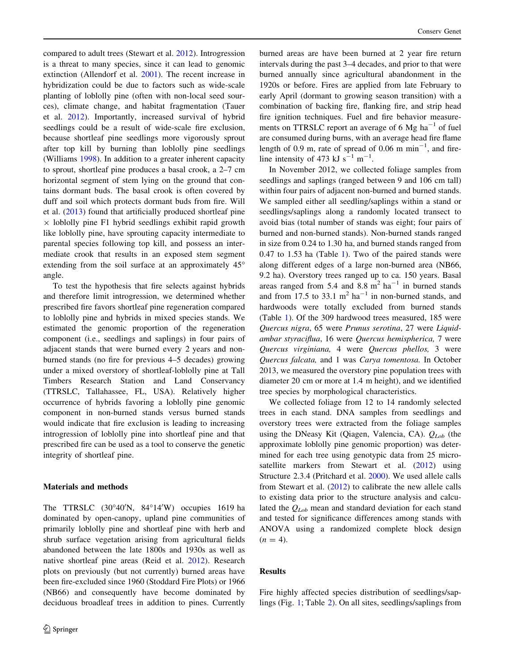compared to adult trees (Stewart et al. [2012\)](#page-4-0). Introgression is a threat to many species, since it can lead to genomic extinction (Allendorf et al. [2001](#page-4-0)). The recent increase in hybridization could be due to factors such as wide-scale planting of loblolly pine (often with non-local seed sources), climate change, and habitat fragmentation (Tauer et al. [2012\)](#page-4-0). Importantly, increased survival of hybrid seedlings could be a result of wide-scale fire exclusion, because shortleaf pine seedlings more vigorously sprout after top kill by burning than loblolly pine seedlings (Williams [1998](#page-4-0)). In addition to a greater inherent capacity to sprout, shortleaf pine produces a basal crook, a 2–7 cm horizontal segment of stem lying on the ground that contains dormant buds. The basal crook is often covered by duff and soil which protects dormant buds from fire. Will et al. ([2013\)](#page-4-0) found that artificially produced shortleaf pine  $\times$  loblolly pine F1 hybrid seedlings exhibit rapid growth like loblolly pine, have sprouting capacity intermediate to parental species following top kill, and possess an intermediate crook that results in an exposed stem segment extending from the soil surface at an approximately  $45^{\circ}$ angle.

To test the hypothesis that fire selects against hybrids and therefore limit introgression, we determined whether prescribed fire favors shortleaf pine regeneration compared to loblolly pine and hybrids in mixed species stands. We estimated the genomic proportion of the regeneration component (i.e., seedlings and saplings) in four pairs of adjacent stands that were burned every 2 years and nonburned stands (no fire for previous 4–5 decades) growing under a mixed overstory of shortleaf-loblolly pine at Tall Timbers Research Station and Land Conservancy (TTRSLC, Tallahassee, FL, USA). Relatively higher occurrence of hybrids favoring a loblolly pine genomic component in non-burned stands versus burned stands would indicate that fire exclusion is leading to increasing introgression of loblolly pine into shortleaf pine and that prescribed fire can be used as a tool to conserve the genetic integrity of shortleaf pine.

# Materials and methods

The TTRSLC  $(30^{\circ}40^{\prime})N$ ,  $84^{\circ}14^{\prime}W$  occupies 1619 ha dominated by open-canopy, upland pine communities of primarily loblolly pine and shortleaf pine with herb and shrub surface vegetation arising from agricultural fields abandoned between the late 1800s and 1930s as well as native shortleaf pine areas (Reid et al. [2012\)](#page-4-0). Research plots on previously (but not currently) burned areas have been fire-excluded since 1960 (Stoddard Fire Plots) or 1966 (NB66) and consequently have become dominated by deciduous broadleaf trees in addition to pines. Currently burned areas are have been burned at 2 year fire return intervals during the past 3–4 decades, and prior to that were burned annually since agricultural abandonment in the 1920s or before. Fires are applied from late February to early April (dormant to growing season transition) with a combination of backing fire, flanking fire, and strip head fire ignition techniques. Fuel and fire behavior measurements on TTRSLC report an average of 6 Mg  $ha^{-1}$  of fuel are consumed during burns, with an average head fire flame length of 0.9 m, rate of spread of 0.06 m  $min^{-1}$ , and fireline intensity of 473 kJ  $s^{-1}$  m<sup>-1</sup>.

In November 2012, we collected foliage samples from seedlings and saplings (ranged between 9 and 106 cm tall) within four pairs of adjacent non-burned and burned stands. We sampled either all seedling/saplings within a stand or seedlings/saplings along a randomly located transect to avoid bias (total number of stands was eight; four pairs of burned and non-burned stands). Non-burned stands ranged in size from 0.24 to 1.30 ha, and burned stands ranged from 0.47 to 1.53 ha (Table [1](#page-2-0)). Two of the paired stands were along different edges of a large non-burned area (NB66, 9.2 ha). Overstory trees ranged up to ca. 150 years. Basal areas ranged from 5.4 and 8.8  $m<sup>2</sup>$  ha<sup>-1</sup> in burned stands and from 17.5 to 33.1  $m^2$  ha<sup>-1</sup> in non-burned stands, and hardwoods were totally excluded from burned stands (Table [1\)](#page-2-0). Of the 309 hardwood trees measured, 185 were Quercus nigra, 65 were Prunus serotina, 27 were Liquidambar styraciflua, 16 were Quercus hemispherica, 7 were Quercus virginiana, 4 were Quercus phellos, 3 were Quercus falcata, and 1 was Carya tomentosa. In October 2013, we measured the overstory pine population trees with diameter 20 cm or more at 1.4 m height), and we identified tree species by morphological characteristics.

We collected foliage from 12 to 14 randomly selected trees in each stand. DNA samples from seedlings and overstory trees were extracted from the foliage samples using the DNeasy Kit (Qiagen, Valencia, CA).  $Q_{Lob}$  (the approximate loblolly pine genomic proportion) was determined for each tree using genotypic data from 25 micro-satellite markers from Stewart et al. ([2012\)](#page-4-0) using Structure 2.3.4 (Pritchard et al. [2000\)](#page-4-0). We used allele calls from Stewart et al. ([2012\)](#page-4-0) to calibrate the new allele calls to existing data prior to the structure analysis and calculated the  $Q_{Lob}$  mean and standard deviation for each stand and tested for significance differences among stands with ANOVA using a randomized complete block design  $(n = 4)$ .

#### Results

Fire highly affected species distribution of seedlings/saplings (Fig. [1](#page-2-0); Table [2\)](#page-2-0). On all sites, seedlings/saplings from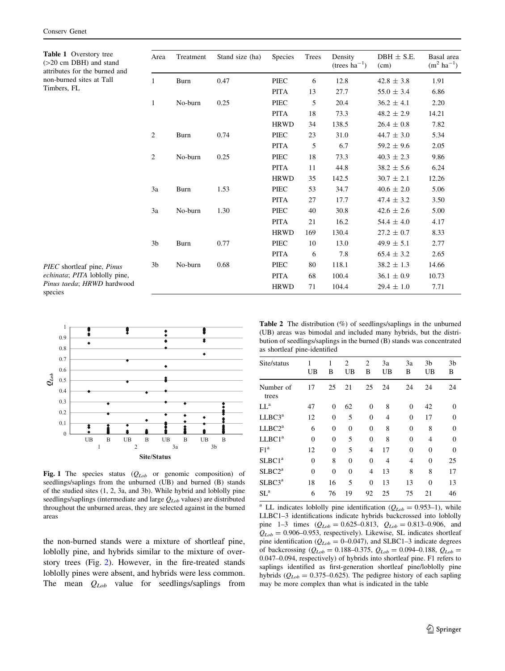<span id="page-2-0"></span>Table 1 Overstory tree  $(>=20$  cm DBH) and stand attributes for the burned and non-burned sites at Tall Timbers, FL

| Area           | Treatment | Stand size (ha) | Species     | Trees | Density<br>(trees $ha^{-1}$ ) | $DBH \pm S.E.$<br>(cm) | Basal area<br>$(m^2 \text{ ha}^{-1})$ |
|----------------|-----------|-----------------|-------------|-------|-------------------------------|------------------------|---------------------------------------|
| $\mathbf{1}$   | Burn      | 0.47            | <b>PIEC</b> | 6     | 12.8                          | $42.8 \pm 3.8$         | 1.91                                  |
|                |           |                 | <b>PITA</b> | 13    | 27.7                          | $55.0 \pm 3.4$         | 6.86                                  |
| 1              | No-burn   | 0.25            | PIEC        | 5     | 20.4                          | $36.2 \pm 4.1$         | 2.20                                  |
|                |           |                 | <b>PITA</b> | 18    | 73.3                          | $48.2 \pm 2.9$         | 14.21                                 |
|                |           |                 | <b>HRWD</b> | 34    | 138.5                         | $26.4 \pm 0.8$         | 7.82                                  |
| $\overline{2}$ | Burn      | 0.74            | PIEC        | 23    | 31.0                          | $44.7 \pm 3.0$         | 5.34                                  |
|                |           |                 | <b>PITA</b> | 5     | 6.7                           | $59.2 \pm 9.6$         | 2.05                                  |
| 2              | No-burn   | 0.25            | PIEC        | 18    | 73.3                          | $40.3 \pm 2.3$         | 9.86                                  |
|                |           |                 | <b>PITA</b> | 11    | 44.8                          | $38.2 \pm 5.6$         | 6.24                                  |
|                |           |                 | <b>HRWD</b> | 35    | 142.5                         | $30.7 \pm 2.1$         | 12.26                                 |
| 3a             | Burn      | 1.53            | PIEC        | 53    | 34.7                          | $40.6 \pm 2.0$         | 5.06                                  |
|                |           |                 | <b>PITA</b> | 27    | 17.7                          | $47.4 \pm 3.2$         | 3.50                                  |
| 3a             | No-burn   | 1.30            | PIEC        | 40    | 30.8                          | $42.6 \pm 2.6$         | 5.00                                  |
|                |           |                 | <b>PITA</b> | 21    | 16.2                          | 54.4 $\pm$ 4.0         | 4.17                                  |
|                |           |                 | <b>HRWD</b> | 169   | 130.4                         | $27.2 \pm 0.7$         | 8.33                                  |
| 3 <sub>b</sub> | Burn      | 0.77            | PIEC        | 10    | 13.0                          | $49.9 \pm 5.1$         | 2.77                                  |
|                |           |                 | <b>PITA</b> | 6     | 7.8                           | $65.4 \pm 3.2$         | 2.65                                  |
| 3 <sub>b</sub> | No-burn   | 0.68            | PIEC        | 80    | 118.1                         | $38.2 \pm 1.3$         | 14.66                                 |
|                |           |                 | <b>PITA</b> | 68    | 100.4                         | $36.1 \pm 0.9$         | 10.73                                 |
|                |           |                 | <b>HRWD</b> | 71    | 104.4                         | $29.4 \pm 1.0$         | 7.71                                  |

PIEC shortleaf pine, Pinus echinata; PITA loblolly pine, Pinus taeda; HRWD hardwood species



Fig. 1 The species status  $(Q_{Lob}$  or genomic composition) of seedlings/saplings from the unburned (UB) and burned (B) stands of the studied sites (1, 2, 3a, and 3b). While hybrid and loblolly pine seedlings/saplings (intermediate and large  $Q_{Lob}$  values) are distributed throughout the unburned areas, they are selected against in the burned areas

the non-burned stands were a mixture of shortleaf pine, loblolly pine, and hybrids similar to the mixture of overstory trees (Fig. [2](#page-3-0)). However, in the fire-treated stands loblolly pines were absent, and hybrids were less common. The mean  $Q_{Lob}$  value for seedlings/saplings from

Table 2 The distribution (%) of seedlings/saplings in the unburned (UB) areas was bimodal and included many hybrids, but the distribution of seedlings/saplings in the burned (B) stands was concentrated as shortleaf pine-identified

| Site/status        | 1<br>UB      | 1<br>В   | $\mathfrak{2}$<br>UB | $\overline{c}$<br>В | 3a<br>UB | 3a<br>В        | 3 <sub>b</sub><br>UB | 3 <sub>b</sub><br>В |
|--------------------|--------------|----------|----------------------|---------------------|----------|----------------|----------------------|---------------------|
| Number of<br>trees | 17           | 25       | 21                   | 25                  | 24       | 24             | 24                   | 24                  |
| $LI^a$             | 47           | $\Omega$ | 62                   | $\Omega$            | 8        | $\mathbf{0}$   | 42                   | $\theta$            |
| LLBC3 <sup>a</sup> | 12           | $\theta$ | 5                    | $\theta$            | 4        | $\theta$       | 17                   | $\Omega$            |
| LLBC2 <sup>a</sup> | 6            | $\theta$ | $\theta$             | $\theta$            | 8        | $\theta$       | 8                    | $\theta$            |
| LLBC1 <sup>a</sup> | $\mathbf{0}$ | $\theta$ | 5                    | $\theta$            | 8        | $\overline{0}$ | 4                    | $\Omega$            |
| F1 <sup>a</sup>    | 12           | $\theta$ | 5                    | 4                   | 17       | $\mathbf{0}$   | $\overline{0}$       | $\Omega$            |
| SLBC1 <sup>a</sup> | $\mathbf{0}$ | 8        | $\theta$             | $\Omega$            | 4        | 4              | $\Omega$             | 25                  |
| SLBC2 <sup>a</sup> | $\theta$     | $\Omega$ | $\theta$             | 4                   | 13       | 8              | 8                    | 17                  |
| SLBC3 <sup>a</sup> | 18           | 16       | 5                    | $\mathbf{0}$        | 13       | 13             | $\theta$             | 13                  |
| SL <sup>a</sup>    | 6            | 76       | 19                   | 92                  | 25       | 75             | 21                   | 46                  |
|                    |              |          |                      |                     |          |                |                      |                     |

<sup>a</sup> LL indicates loblolly pine identification ( $Q_{Lob} = 0.953-1$ ), while LLBC1–3 identifications indicate hybrids backcrossed into loblolly pine 1–3 times  $(Q_{Lob} = 0.625 - 0.813, Q_{Lob} = 0.813 - 0.906,$  and  $Q_{Lob} = 0.906 - 0.953$ , respectively). Likewise, SL indicates shortleaf pine identification ( $Q_{Lob} = 0$ –0.047), and SLBC1–3 indicate degrees of backcrossing ( $Q_{Lob} = 0.188 - 0.375$ ,  $Q_{Lob} = 0.094 - 0.188$ ,  $Q_{Lob} =$ 0.047–0.094, respectively) of hybrids into shortleaf pine. F1 refers to saplings identified as first-generation shortleaf pine/loblolly pine hybrids ( $Q_{Lob} = 0.375{\text -}0.625$ ). The pedigree history of each sapling may be more complex than what is indicated in the table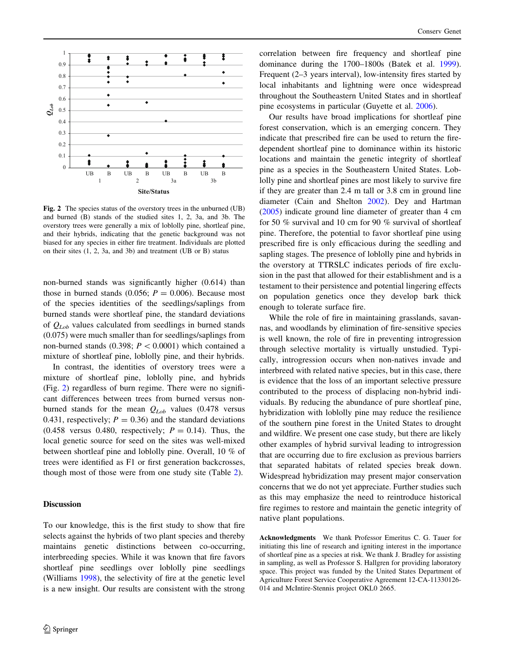<span id="page-3-0"></span>

Fig. 2 The species status of the overstory trees in the unburned (UB) and burned (B) stands of the studied sites 1, 2, 3a, and 3b. The overstory trees were generally a mix of loblolly pine, shortleaf pine, and their hybrids, indicating that the genetic background was not biased for any species in either fire treatment. Individuals are plotted on their sites (1, 2, 3a, and 3b) and treatment (UB or B) status

non-burned stands was significantly higher (0.614) than those in burned stands (0.056;  $P = 0.006$ ). Because most of the species identities of the seedlings/saplings from burned stands were shortleaf pine, the standard deviations of  $Q_{Lob}$  values calculated from seedlings in burned stands (0.075) were much smaller than for seedlings/saplings from non-burned stands (0.398;  $P \lt 0.0001$ ) which contained a mixture of shortleaf pine, loblolly pine, and their hybrids.

In contrast, the identities of overstory trees were a mixture of shortleaf pine, loblolly pine, and hybrids (Fig. 2) regardless of burn regime. There were no significant differences between trees from burned versus nonburned stands for the mean  $Q_{Lob}$  values (0.478 versus 0.431, respectively;  $P = 0.36$ ) and the standard deviations  $(0.458$  versus 0.480, respectively;  $P = 0.14$ ). Thus, the local genetic source for seed on the sites was well-mixed between shortleaf pine and loblolly pine. Overall, 10 % of trees were identified as F1 or first generation backcrosses, though most of those were from one study site (Table [2\)](#page-2-0).

## Discussion

To our knowledge, this is the first study to show that fire selects against the hybrids of two plant species and thereby maintains genetic distinctions between co-occurring, interbreeding species. While it was known that fire favors shortleaf pine seedlings over loblolly pine seedlings (Williams [1998](#page-4-0)), the selectivity of fire at the genetic level is a new insight. Our results are consistent with the strong correlation between fire frequency and shortleaf pine dominance during the 1700–1800s (Batek et al. [1999](#page-4-0)). Frequent (2–3 years interval), low-intensity fires started by local inhabitants and lightning were once widespread throughout the Southeastern United States and in shortleaf pine ecosystems in particular (Guyette et al. [2006\)](#page-4-0).

Our results have broad implications for shortleaf pine forest conservation, which is an emerging concern. They indicate that prescribed fire can be used to return the firedependent shortleaf pine to dominance within its historic locations and maintain the genetic integrity of shortleaf pine as a species in the Southeastern United States. Loblolly pine and shortleaf pines are most likely to survive fire if they are greater than 2.4 m tall or 3.8 cm in ground line diameter (Cain and Shelton [2002\)](#page-4-0). Dey and Hartman [\(2005](#page-4-0)) indicate ground line diameter of greater than 4 cm for 50 % survival and 10 cm for 90 % survival of shortleaf pine. Therefore, the potential to favor shortleaf pine using prescribed fire is only efficacious during the seedling and sapling stages. The presence of loblolly pine and hybrids in the overstory at TTRSLC indicates periods of fire exclusion in the past that allowed for their establishment and is a testament to their persistence and potential lingering effects on population genetics once they develop bark thick enough to tolerate surface fire.

While the role of fire in maintaining grasslands, savannas, and woodlands by elimination of fire-sensitive species is well known, the role of fire in preventing introgression through selective mortality is virtually unstudied. Typically, introgression occurs when non-natives invade and interbreed with related native species, but in this case, there is evidence that the loss of an important selective pressure contributed to the process of displacing non-hybrid individuals. By reducing the abundance of pure shortleaf pine, hybridization with loblolly pine may reduce the resilience of the southern pine forest in the United States to drought and wildfire. We present one case study, but there are likely other examples of hybrid survival leading to introgression that are occurring due to fire exclusion as previous barriers that separated habitats of related species break down. Widespread hybridization may present major conservation concerns that we do not yet appreciate. Further studies such as this may emphasize the need to reintroduce historical fire regimes to restore and maintain the genetic integrity of native plant populations.

Acknowledgments We thank Professor Emeritus C. G. Tauer for initiating this line of research and igniting interest in the importance of shortleaf pine as a species at risk. We thank J. Bradley for assisting in sampling, as well as Professor S. Hallgren for providing laboratory space. This project was funded by the United States Department of Agriculture Forest Service Cooperative Agreement 12-CA-11330126- 014 and McIntire-Stennis project OKL0 2665.